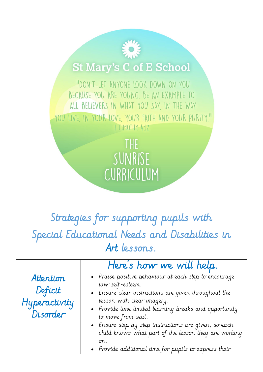## **St Mary's C of E School**

"DON'T LET ANYONE LOOK DOWN ON YOU BECAUSE YOU ARE YOUNG. BE AN EXAMPLE TO ALL BELIEVERS IN WHAT YOU SAY, IN THE WAY YOU LIVE, IN YOUR LOVE, YOUR FAITH AND YOUR PURITY." I TIMOTHY 4:12

> THE SUNRISE CURRICULUM

## Strategies for supporting pupils with Special Educational Needs and Disabilities in Art lessons.

|                                                   | Here's how we will help.                                                                                                                                                                                                                                                                                                                                                                                                         |
|---------------------------------------------------|----------------------------------------------------------------------------------------------------------------------------------------------------------------------------------------------------------------------------------------------------------------------------------------------------------------------------------------------------------------------------------------------------------------------------------|
| Attention<br>Deficit<br>Hyperactivity<br>Disorder | • Praise positive behaviour at each step to encourage<br>low self-esteem.<br>• Ensure clear instructions are given throughout the<br>lesson with clear imagery.<br>. Provide time limited learning breaks and opportunity<br>to move from seat.<br>• Ensure step by step instructions are given, so each<br>child knows what part of the lesson they are working<br>on.<br>• Provide additional time for pupils to express their |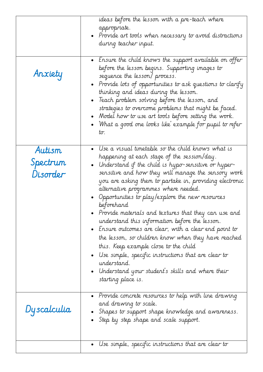|                                | ideas before the lesson with a pre-teach where<br>appropriate.<br>• Provide art tools when necessary to avoid distractions<br>during teacher input.                                                                                                                                                                                                                                                                                                                                                                                                                                                                                                                                                                                                                                                                      |
|--------------------------------|--------------------------------------------------------------------------------------------------------------------------------------------------------------------------------------------------------------------------------------------------------------------------------------------------------------------------------------------------------------------------------------------------------------------------------------------------------------------------------------------------------------------------------------------------------------------------------------------------------------------------------------------------------------------------------------------------------------------------------------------------------------------------------------------------------------------------|
| Anxiety                        | - Ensure the child knows the support available on offer<br>before the lesson begins. Supporting images to<br>sequence the lesson/process.<br>• Provide lots of opportunities to ask questions to clarify<br>thinking and ideas during the lesson.<br>$\bullet$ Teach problem solving before the lesson, and<br>strategies to overcome problems that might be faced.<br>Model how to use art tools before setting the work.<br>• 'What a good one looks like' example for pupil to refer<br>tσ.                                                                                                                                                                                                                                                                                                                           |
| Autism<br>Spectrum<br>Disorder | • Use a visual timetable so the child knows what is<br>happening at each stage of the session/day.<br>• Understand if the child is hypo-sensitive or hyper-<br>sensitive and how they will manage the sensory work<br>you are asking them to partake in, providing electronic<br>alternative programmes where needed.<br>Opportunities to play/explore the new resources<br>beforehand<br>$\bullet$ Provide materials and textures that they can use and<br>understand this information before the lesson.<br>• Ensure outcomes are clear, with a clear end point to<br>the lesson, so children know when they have reached<br>this. Keep example close to the child<br>• Use simple, specific instructions that are clear to<br>understand.<br>• Understand your student's skills and where their<br>starting place is. |
| Dyscalculia                    | • Provide concrete resources to help with line drawing<br>and drawing to scale.<br>Shapes to support shape knowledge and awareness.<br>$\bullet$ Step by step shape and scale support.                                                                                                                                                                                                                                                                                                                                                                                                                                                                                                                                                                                                                                   |
|                                | Use simple, specific instructions that are clear to                                                                                                                                                                                                                                                                                                                                                                                                                                                                                                                                                                                                                                                                                                                                                                      |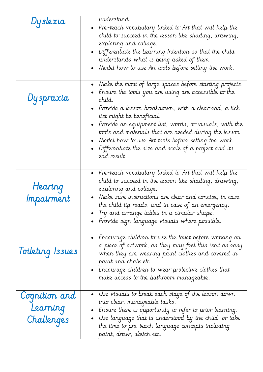| Dyslexia                                | understand.<br>$\bullet$ Pre-teach vocabulary linked to Art that will help the<br>child to succeed in the lesson like shading, drawing,<br>exploring and collage.<br>$\bullet$ Differentiate the Learning Intention so that the child<br>understands what is being asked of them.                                                                                                                                                                                                                             |
|-----------------------------------------|---------------------------------------------------------------------------------------------------------------------------------------------------------------------------------------------------------------------------------------------------------------------------------------------------------------------------------------------------------------------------------------------------------------------------------------------------------------------------------------------------------------|
|                                         | $\bullet$ -Model how to use Art tools before setting the work.                                                                                                                                                                                                                                                                                                                                                                                                                                                |
| Dyspraxia                               | • Make the most of large spaces before starting projects.<br>$\bullet$ Ensure the tools you are using are accessible to the<br>child.<br>$\bullet$ Provide a lesson breakdown, with a clear end, a tick<br>list might be beneficial.<br>$\bullet$ Provide an equipment list, words, or visuals, with the<br>tools and materials that are needed during the lesson.<br>• Model how to use Art tools before setting the work.<br>$\bullet$ Differentiate the size and scale of a project and its<br>end result. |
| Hearing<br>Impairment                   | $\bullet$ Pre-teach vocabulary linked to Art that will help the<br>child to succeed in the lesson like shading, drawing,<br>exploring and collage.<br>• Make sure instructions are clear and concise, in case<br>the child lip reads, and in case of an emergency.<br>Try and arrange tables in a circular shape.<br>$\bullet$ Provide sign language visuals where possible.                                                                                                                                  |
| Toileting Issues                        | $\bullet$ - Encourage children to use the toilet before working on<br>a piece of artwork, as they may feel this isn't as easy<br>when they are wearing paint clothes and covered in<br>paint and chalk etc.<br>- $\;$ Lncourage children to wear protective clothes that<br>make access to the bathroom manageable.                                                                                                                                                                                           |
| Cognition and<br>Learning<br>Challenges | $\bullet$ $\;$ Use visuals to break each stage of the lesson down<br>into clear, manageable tasks.<br>Losure there is opportunity to refer to prior learning.<br>$\bullet$ Use language that is understood by the child, or take<br>the time to pre-teach language concepts including<br>paint, draw, sketch etc.                                                                                                                                                                                             |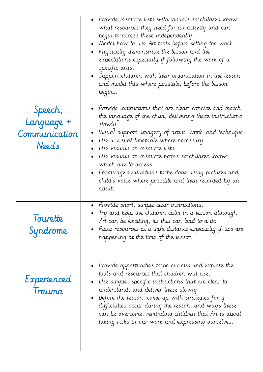|                                                 | • Provide resource lists with visuals so children know<br>what resources they need for an activity and can<br>begin to access these independently.<br>• Model how to use Art tools before setting the work.<br>• Physically demonstrate the lesson and the $\,$<br>expectations especially if following the work of a<br>specific artist.<br>• Support children with their organisation in the lesson<br>and model this where possible, before the lesson<br>begins.        |
|-------------------------------------------------|-----------------------------------------------------------------------------------------------------------------------------------------------------------------------------------------------------------------------------------------------------------------------------------------------------------------------------------------------------------------------------------------------------------------------------------------------------------------------------|
| Speech,<br>Language +<br>Communication<br>Needs | • Provide instructions that are clear, concise and match<br>the language of the child, delivering these instructions<br>slowly.<br>Visual support, imagery of artist, work, and technique<br>Use a visual timetable where necessary.<br>Use visuals on resource lists.<br>Use visuals on resource boxes so children know<br>which one to access.<br>• Encourage evaluations to be done using pictures and<br>child's voice where possible and then recorded by an<br>adult. |
| Tourette<br>Syndrome                            | Provide short, simple clear instructions.<br>$\bullet~$ Try and keep the children calm in a lesson although<br>Art can be exciting, as this can lead to a tic.<br>• Place resources at a safe distance especially if tics are $\;$<br>happening at the time of the lesson.                                                                                                                                                                                                  |
| Experienced<br>Trauma                           | $\bullet$ Provide opportunities to be curious and explore the<br>tools and resources that children will use.<br>$\bullet$ Use simple, specific instructions that are clear to<br>understand, and deliver these slowly.<br>$\bullet$ Before the lesson, come up with strategies for if<br>difficulties occur during the lesson, and ways these<br>can be overcome, reminding children that Art is about<br>taking risks in our work and expressing ourselves.                |